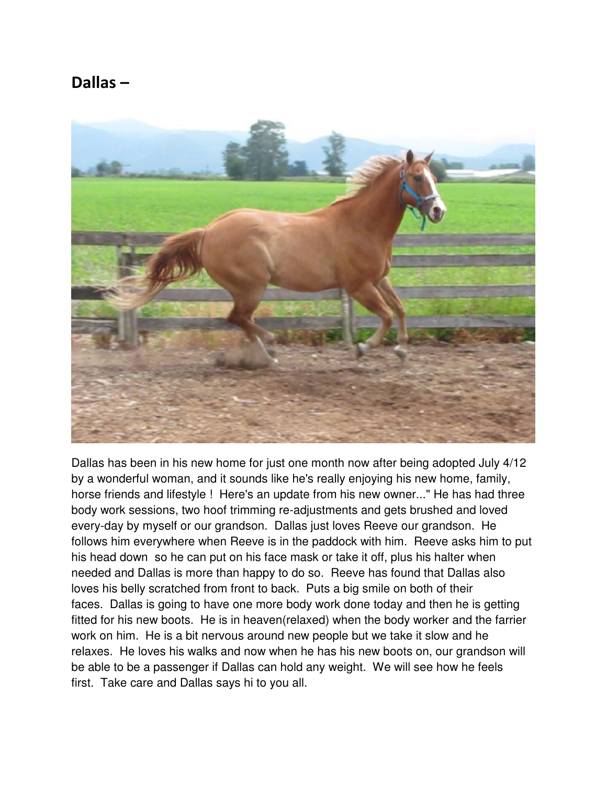## Dallas –



Dallas has been in his new home for just one month now after being adopted July 4/12 by a wonderful woman, and it sounds like he's really enjoying his new home, family, horse friends and lifestyle ! Here's an update from his new owner..." He has had three body work sessions, two hoof trimming re-adjustments and gets brushed and loved every-day by myself or our grandson. Dallas just loves Reeve our grandson. He follows him everywhere when Reeve is in the paddock with him. Reeve asks him to put his head down so he can put on his face mask or take it off, plus his halter when needed and Dallas is more than happy to do so. Reeve has found that Dallas also loves his belly scratched from front to back. Puts a big smile on both of their faces. Dallas is going to have one more body work done today and then he is getting fitted for his new boots. He is in heaven(relaxed) when the body worker and the farrier work on him. He is a bit nervous around new people but we take it slow and he relaxes. He loves his walks and now when he has his new boots on, our grandson will be able to be a passenger if Dallas can hold any weight. We will see how he feels first. Take care and Dallas says hi to you all.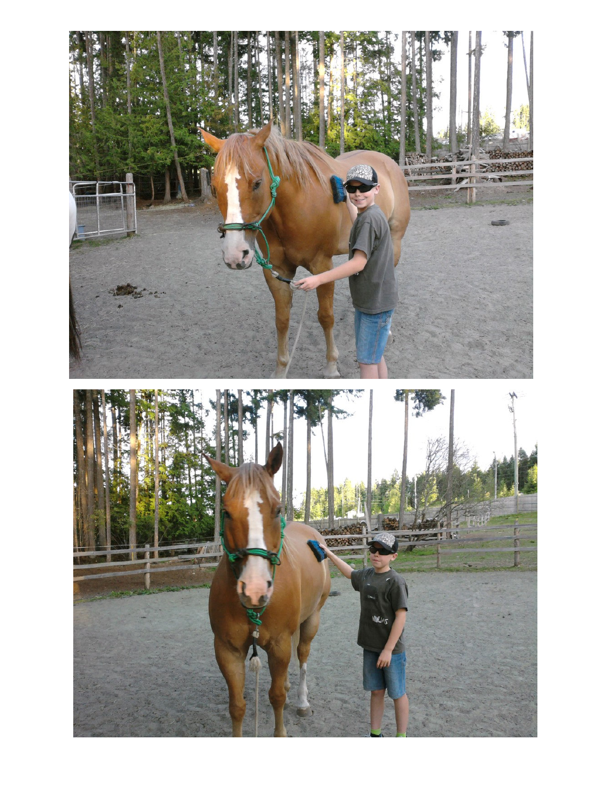